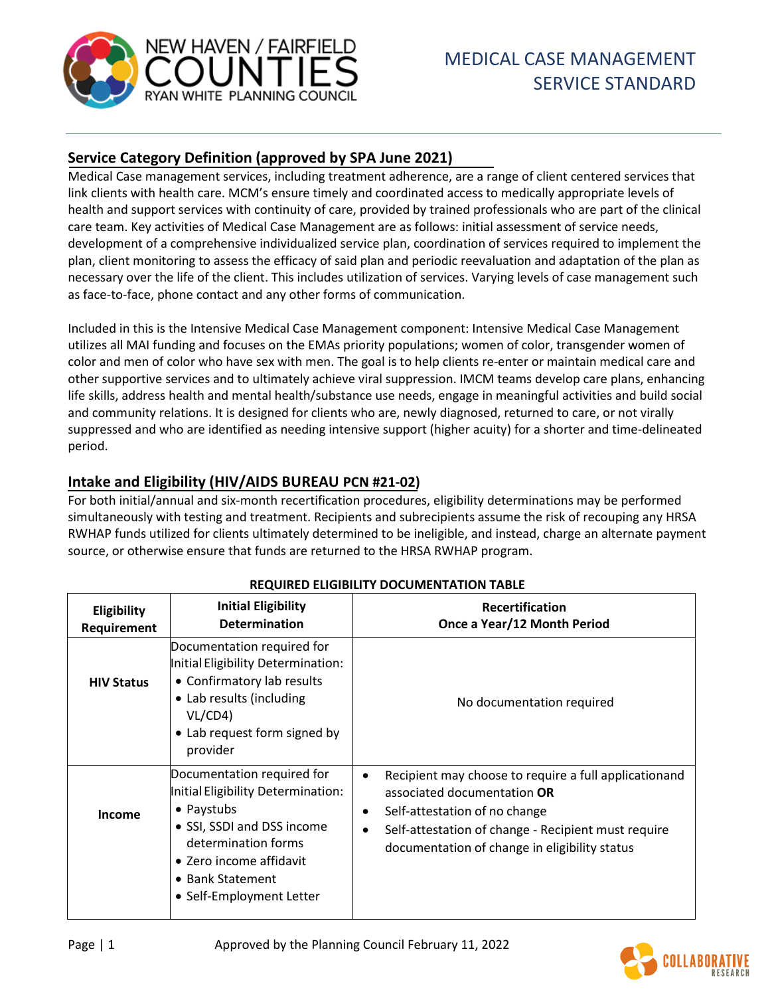

# **Service Category Definition (approved by SPA June 2021)**

Medical Case management services, including treatment adherence, are a range of client centered services that link clients with health care. MCM's ensure timely and coordinated access to medically appropriate levels of health and support services with continuity of care, provided by trained professionals who are part of the clinical care team. Key activities of Medical Case Management are as follows: initial assessment of service needs, development of a comprehensive individualized service plan, coordination of services required to implement the plan, client monitoring to assess the efficacy of said plan and periodic reevaluation and adaptation of the plan as necessary over the life of the client. This includes utilization of services. Varying levels of case management such as face-to-face, phone contact and any other forms of communication.

Included in this is the Intensive Medical Case Management component: Intensive Medical Case Management utilizes all MAI funding and focuses on the EMAs priority populations; women of color, transgender women of color and men of color who have sex with men. The goal is to help clients re-enter or maintain medical care and other supportive services and to ultimately achieve viral suppression. IMCM teams develop care plans, enhancing life skills, address health and mental health/substance use needs, engage in meaningful activities and build social and community relations. It is designed for clients who are, newly diagnosed, returned to care, or not virally suppressed and who are identified as needing intensive support (higher acuity) for a shorter and time-delineated period.

# **Intake and Eligibility (HIV/AIDS BUREAU PCN #21-02)**

For both initial/annual and six-month recertification procedures, eligibility determinations may be performed simultaneously with testing and treatment. Recipients and subrecipients assume the risk of recouping any HRSA RWHAP funds utilized for clients ultimately determined to be ineligible, and instead, charge an alternate payment source, or otherwise ensure that funds are returned to the HRSA RWHAP program.

| <b>Eligibility</b><br>Requirement | <b>Initial Eligibility</b><br><b>Determination</b>                                                                                                                                                             | <b>Recertification</b><br>Once a Year/12 Month Period                                                                                                                                                                                                                |
|-----------------------------------|----------------------------------------------------------------------------------------------------------------------------------------------------------------------------------------------------------------|----------------------------------------------------------------------------------------------------------------------------------------------------------------------------------------------------------------------------------------------------------------------|
| <b>HIV Status</b>                 | Documentation required for<br>Initial Eligibility Determination:<br>• Confirmatory lab results<br>• Lab results (including<br>VL/CD4)<br>• Lab request form signed by<br>provider                              | No documentation required                                                                                                                                                                                                                                            |
| <b>Income</b>                     | Documentation required for<br>Initial Eligibility Determination:<br>• Paystubs<br>• SSI, SSDI and DSS income<br>determination forms<br>• Zero income affidavit<br>• Bank Statement<br>• Self-Employment Letter | Recipient may choose to require a full applicationand<br>$\bullet$<br>associated documentation OR<br>Self-attestation of no change<br>$\bullet$<br>Self-attestation of change - Recipient must require<br>$\bullet$<br>documentation of change in eligibility status |

#### **REQUIRED ELIGIBILITY DOCUMENTATION TABLE**

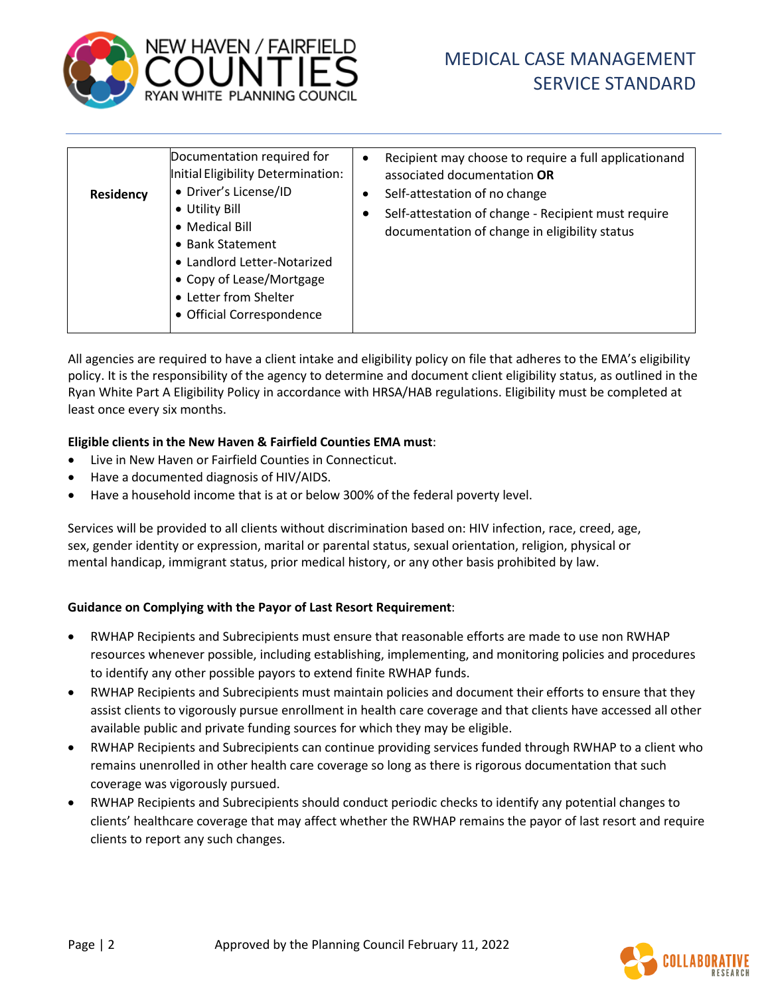

| <b>Residency</b> | Documentation required for<br>Initial Eligibility Determination:<br>• Driver's License/ID<br>• Utility Bill<br>• Medical Bill<br>• Bank Statement<br>• Landlord Letter-Notarized<br>• Copy of Lease/Mortgage<br>• Letter from Shelter<br>• Official Correspondence | $\bullet$<br>$\bullet$ | Recipient may choose to require a full applicationand<br>associated documentation OR<br>Self-attestation of no change<br>Self-attestation of change - Recipient must require<br>documentation of change in eligibility status |
|------------------|--------------------------------------------------------------------------------------------------------------------------------------------------------------------------------------------------------------------------------------------------------------------|------------------------|-------------------------------------------------------------------------------------------------------------------------------------------------------------------------------------------------------------------------------|
|------------------|--------------------------------------------------------------------------------------------------------------------------------------------------------------------------------------------------------------------------------------------------------------------|------------------------|-------------------------------------------------------------------------------------------------------------------------------------------------------------------------------------------------------------------------------|

All agencies are required to have a client intake and eligibility policy on file that adheres to the EMA's eligibility policy. It is the responsibility of the agency to determine and document client eligibility status, as outlined in the Ryan White Part A Eligibility Policy in accordance with HRSA/HAB regulations. Eligibility must be completed at least once every six months.

#### **Eligible clients in the New Haven & Fairfield Counties EMA must**:

- Live in New Haven or Fairfield Counties in Connecticut.
- Have a documented diagnosis of HIV/AIDS.
- Have a household income that is at or below 300% of the federal poverty level.

Services will be provided to all clients without discrimination based on: HIV infection, race, creed, age, sex, gender identity or expression, marital or parental status, sexual orientation, religion, physical or mental handicap, immigrant status, prior medical history, or any other basis prohibited by law.

#### **Guidance on Complying with the Payor of Last Resort Requirement**:

- RWHAP Recipients and Subrecipients must ensure that reasonable efforts are made to use non RWHAP resources whenever possible, including establishing, implementing, and monitoring policies and procedures to identify any other possible payors to extend finite RWHAP funds.
- RWHAP Recipients and Subrecipients must maintain policies and document their efforts to ensure that they assist clients to vigorously pursue enrollment in health care coverage and that clients have accessed all other available public and private funding sources for which they may be eligible.
- RWHAP Recipients and Subrecipients can continue providing services funded through RWHAP to a client who remains unenrolled in other health care coverage so long as there is rigorous documentation that such coverage was vigorously pursued.
- RWHAP Recipients and Subrecipients should conduct periodic checks to identify any potential changes to clients' healthcare coverage that may affect whether the RWHAP remains the payor of last resort and require clients to report any such changes.

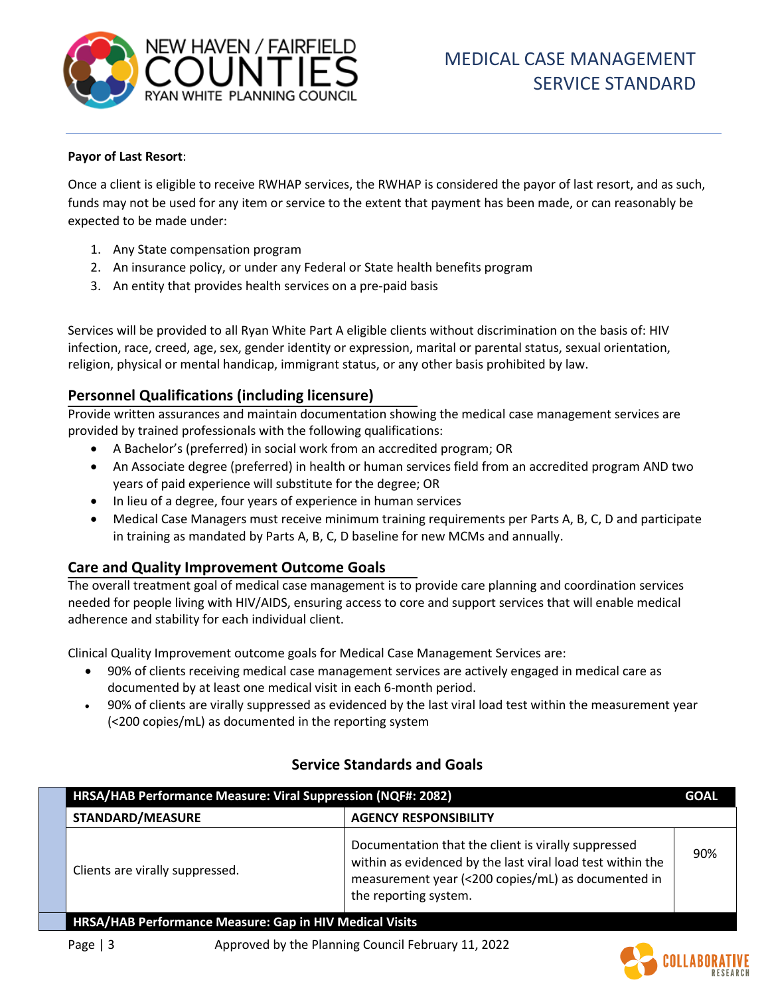

#### **Payor of Last Resort**:

Once a client is eligible to receive RWHAP services, the RWHAP is considered the payor of last resort, and as such, funds may not be used for any item or service to the extent that payment has been made, or can reasonably be expected to be made under:

- 1. Any State compensation program
- 2. An insurance policy, or under any Federal or State health benefits program
- 3. An entity that provides health services on a pre-paid basis

Services will be provided to all Ryan White Part A eligible clients without discrimination on the basis of: HIV infection, race, creed, age, sex, gender identity or expression, marital or parental status, sexual orientation, religion, physical or mental handicap, immigrant status, or any other basis prohibited by law.

### **Personnel Qualifications (including licensure)**

Provide written assurances and maintain documentation showing the medical case management services are provided by trained professionals with the following qualifications:

- A Bachelor's (preferred) in social work from an accredited program; OR
- An Associate degree (preferred) in health or human services field from an accredited program AND two years of paid experience will substitute for the degree; OR
- In lieu of a degree, four years of experience in human services
- Medical Case Managers must receive minimum training requirements per Parts A, B, C, D and participate in training as mandated by Parts A, B, C, D baseline for new MCMs and annually.

#### **Care and Quality Improvement Outcome Goals**

The overall treatment goal of medical case management is to provide care planning and coordination services needed for people living with HIV/AIDS, ensuring access to core and support services that will enable medical adherence and stability for each individual client.

Clinical Quality Improvement outcome goals for Medical Case Management Services are:

- 90% of clients receiving medical case management services are actively engaged in medical care as documented by at least one medical visit in each 6-month period.
- 90% of clients are virally suppressed as evidenced by the last viral load test within the measurement year (<200 copies/mL) as documented in the reporting system

| HRSA/HAB Performance Measure: Viral Suppression (NQF#: 2082)   |                                                                                                                                                                                                  | <b>GOAL</b> |
|----------------------------------------------------------------|--------------------------------------------------------------------------------------------------------------------------------------------------------------------------------------------------|-------------|
| <b>STANDARD/MEASURE</b>                                        | <b>AGENCY RESPONSIBILITY</b>                                                                                                                                                                     |             |
| Clients are virally suppressed.                                | Documentation that the client is virally suppressed<br>within as evidenced by the last viral load test within the<br>measurement year (<200 copies/mL) as documented in<br>the reporting system. | 90%         |
| <b>HRSA/HAB Performance Measure: Gap in HIV Medical Visits</b> |                                                                                                                                                                                                  |             |

#### **Service Standards and Goals**

Page | 3 Approved by the Planning Council February 11, 2022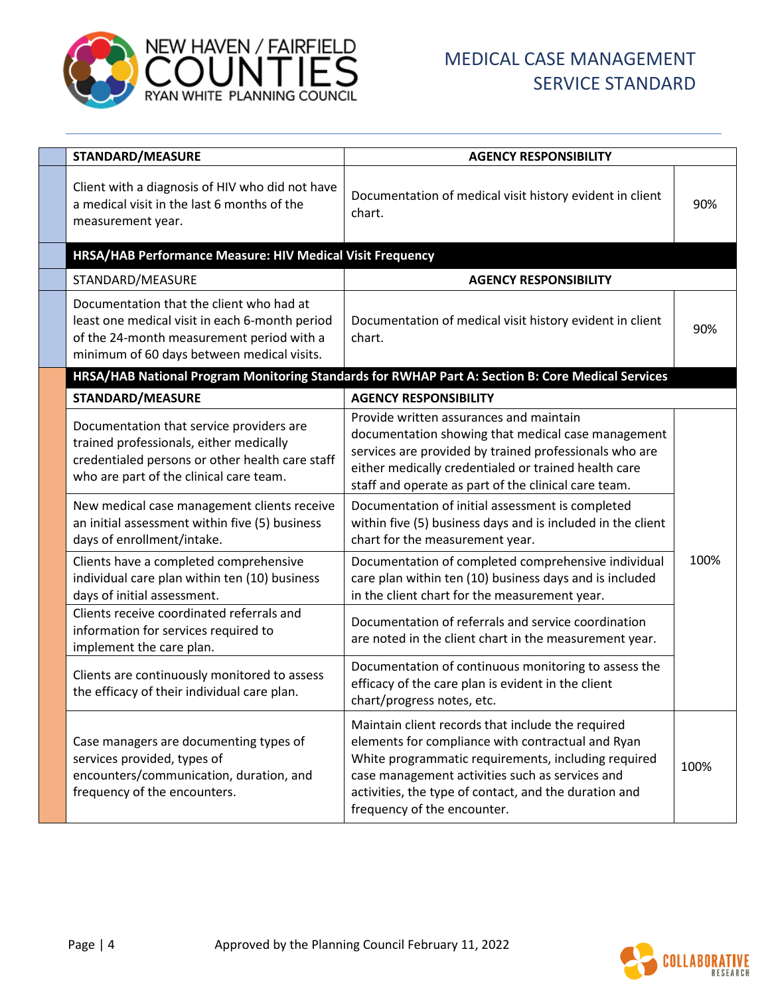

| STANDARD/MEASURE                                                                                                                                                                      | <b>AGENCY RESPONSIBILITY</b>                                                                                                                                                                                                                                                                             |      |
|---------------------------------------------------------------------------------------------------------------------------------------------------------------------------------------|----------------------------------------------------------------------------------------------------------------------------------------------------------------------------------------------------------------------------------------------------------------------------------------------------------|------|
| Client with a diagnosis of HIV who did not have<br>a medical visit in the last 6 months of the<br>measurement year.                                                                   | Documentation of medical visit history evident in client<br>chart.                                                                                                                                                                                                                                       | 90%  |
| HRSA/HAB Performance Measure: HIV Medical Visit Frequency                                                                                                                             |                                                                                                                                                                                                                                                                                                          |      |
| STANDARD/MEASURE                                                                                                                                                                      | <b>AGENCY RESPONSIBILITY</b>                                                                                                                                                                                                                                                                             |      |
| Documentation that the client who had at<br>least one medical visit in each 6-month period<br>of the 24-month measurement period with a<br>minimum of 60 days between medical visits. | Documentation of medical visit history evident in client<br>chart.                                                                                                                                                                                                                                       | 90%  |
|                                                                                                                                                                                       | HRSA/HAB National Program Monitoring Standards for RWHAP Part A: Section B: Core Medical Services                                                                                                                                                                                                        |      |
| <b>STANDARD/MEASURE</b>                                                                                                                                                               | <b>AGENCY RESPONSIBILITY</b>                                                                                                                                                                                                                                                                             |      |
| Documentation that service providers are<br>trained professionals, either medically<br>credentialed persons or other health care staff<br>who are part of the clinical care team.     | Provide written assurances and maintain<br>documentation showing that medical case management<br>services are provided by trained professionals who are<br>either medically credentialed or trained health care<br>staff and operate as part of the clinical care team.                                  |      |
| New medical case management clients receive<br>an initial assessment within five (5) business<br>days of enrollment/intake.                                                           | Documentation of initial assessment is completed<br>within five (5) business days and is included in the client<br>chart for the measurement year.                                                                                                                                                       |      |
| Clients have a completed comprehensive<br>individual care plan within ten (10) business<br>days of initial assessment.                                                                | Documentation of completed comprehensive individual<br>care plan within ten (10) business days and is included<br>in the client chart for the measurement year.                                                                                                                                          | 100% |
| Clients receive coordinated referrals and<br>information for services required to<br>implement the care plan.                                                                         | Documentation of referrals and service coordination<br>are noted in the client chart in the measurement year.                                                                                                                                                                                            |      |
| Clients are continuously monitored to assess<br>the efficacy of their individual care plan.                                                                                           | Documentation of continuous monitoring to assess the<br>efficacy of the care plan is evident in the client<br>chart/progress notes, etc.                                                                                                                                                                 |      |
| Case managers are documenting types of<br>services provided, types of<br>encounters/communication, duration, and<br>frequency of the encounters.                                      | Maintain client records that include the required<br>elements for compliance with contractual and Ryan<br>White programmatic requirements, including required<br>case management activities such as services and<br>activities, the type of contact, and the duration and<br>frequency of the encounter. | 100% |

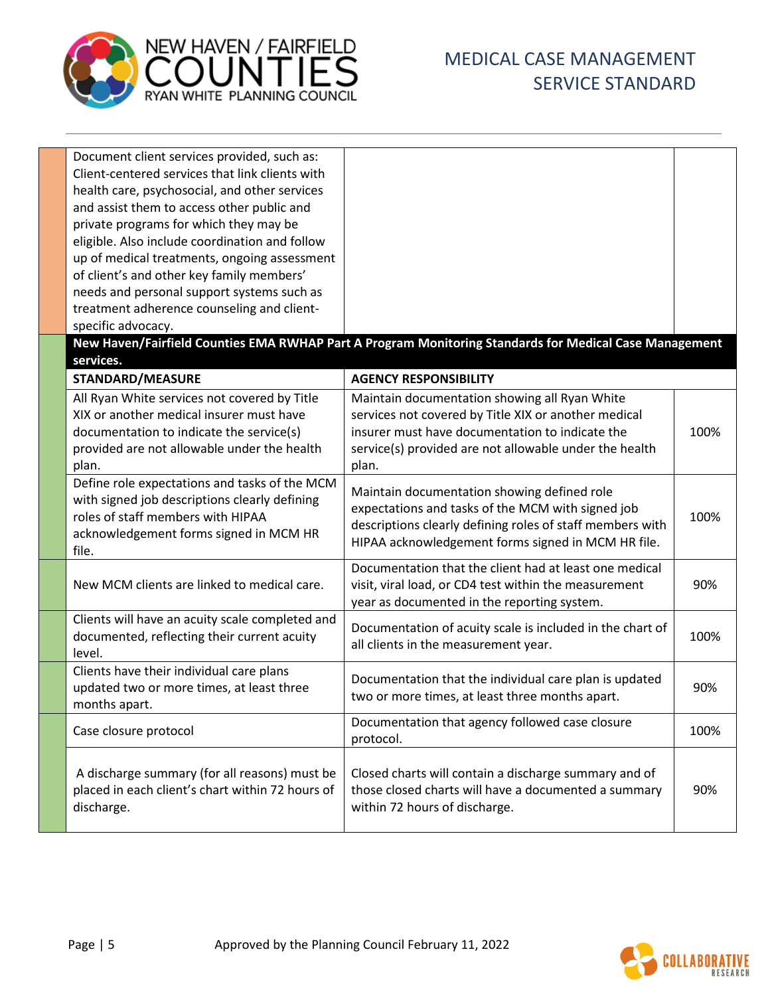

| Document client services provided, such as:<br>Client-centered services that link clients with<br>health care, psychosocial, and other services<br>and assist them to access other public and<br>private programs for which they may be<br>eligible. Also include coordination and follow<br>up of medical treatments, ongoing assessment<br>of client's and other key family members'<br>needs and personal support systems such as<br>treatment adherence counseling and client-<br>specific advocacy. |                                                                                                                                                                                                                             |      |
|----------------------------------------------------------------------------------------------------------------------------------------------------------------------------------------------------------------------------------------------------------------------------------------------------------------------------------------------------------------------------------------------------------------------------------------------------------------------------------------------------------|-----------------------------------------------------------------------------------------------------------------------------------------------------------------------------------------------------------------------------|------|
| services.                                                                                                                                                                                                                                                                                                                                                                                                                                                                                                | New Haven/Fairfield Counties EMA RWHAP Part A Program Monitoring Standards for Medical Case Management                                                                                                                      |      |
| <b>STANDARD/MEASURE</b>                                                                                                                                                                                                                                                                                                                                                                                                                                                                                  | <b>AGENCY RESPONSIBILITY</b>                                                                                                                                                                                                |      |
| All Ryan White services not covered by Title<br>XIX or another medical insurer must have<br>documentation to indicate the service(s)<br>provided are not allowable under the health<br>plan.                                                                                                                                                                                                                                                                                                             | Maintain documentation showing all Ryan White<br>services not covered by Title XIX or another medical<br>insurer must have documentation to indicate the<br>service(s) provided are not allowable under the health<br>plan. | 100% |
| Define role expectations and tasks of the MCM<br>with signed job descriptions clearly defining<br>roles of staff members with HIPAA<br>acknowledgement forms signed in MCM HR<br>file.                                                                                                                                                                                                                                                                                                                   | Maintain documentation showing defined role<br>expectations and tasks of the MCM with signed job<br>descriptions clearly defining roles of staff members with<br>HIPAA acknowledgement forms signed in MCM HR file.         | 100% |
| New MCM clients are linked to medical care.                                                                                                                                                                                                                                                                                                                                                                                                                                                              | Documentation that the client had at least one medical<br>visit, viral load, or CD4 test within the measurement<br>year as documented in the reporting system.                                                              | 90%  |
| Clients will have an acuity scale completed and<br>documented, reflecting their current acuity<br>level.                                                                                                                                                                                                                                                                                                                                                                                                 | Documentation of acuity scale is included in the chart of<br>all clients in the measurement year.                                                                                                                           | 100% |
| Clients have their individual care plans<br>updated two or more times, at least three<br>months apart.                                                                                                                                                                                                                                                                                                                                                                                                   | Documentation that the individual care plan is updated<br>two or more times, at least three months apart.                                                                                                                   | 90%  |
| Case closure protocol                                                                                                                                                                                                                                                                                                                                                                                                                                                                                    | Documentation that agency followed case closure<br>protocol.                                                                                                                                                                | 100% |
| A discharge summary (for all reasons) must be<br>placed in each client's chart within 72 hours of<br>discharge.                                                                                                                                                                                                                                                                                                                                                                                          | Closed charts will contain a discharge summary and of<br>those closed charts will have a documented a summary<br>within 72 hours of discharge.                                                                              | 90%  |